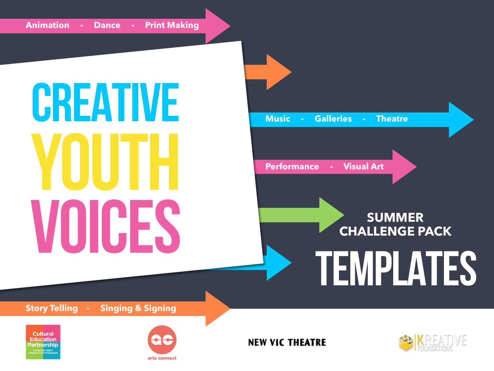# CREATIVE YOUTH **VOICES** SUMMER

**Music - Galleries - Theatre** 

**Performance - Visual Art**

# **CHALLENGE PACK**

# TEMPLATES

**Story Telling - Singing & Signing**





**NEW VIC THEATRE** 

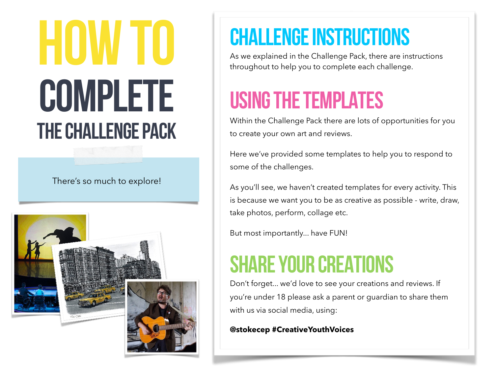# **HUW TU<br>COMPLETE** THE CHALLENGE PACK

There's so much to explore!



## CHALLENGE INSTRUCTIONS

As we explained in the Challenge Pack, there are instructions throughout to help you to complete each challenge.

## USING THE TEMPLATES

Within the Challenge Pack there are lots of opportunities for you to create your own art and reviews.

Here we've provided some templates to help you to respond to some of the challenges.

As you'll see, we haven't created templates for every activity. This is because we want you to be as creative as possible - write, draw, take photos, perform, collage etc.

But most importantly... have FUN!

### SHARE YOUR CREATIONS

Don't forget... we'd love to see your creations and reviews. If you're under 18 please ask a parent or guardian to share them with us via social media, using:

**@stokecep #CreativeYouthVoices**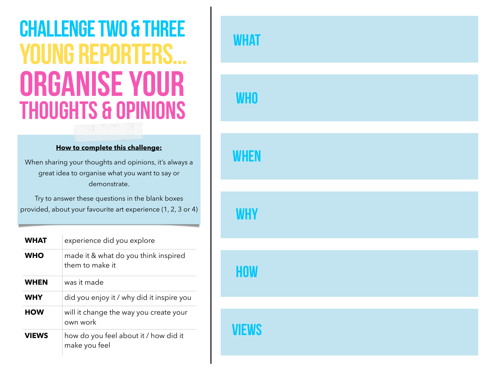# ORGANISE YOUR Thoughts & opinions CHALLENGE TWO & THREE YOUNG REPORTERS...

#### **How to complete this challenge:**

When sharing your thoughts and opinions, it's always a great idea to organise what you want to say or demonstrate.

Try to answer these questions in the blank boxes provided, about your favourite art experience (1, 2, 3 or 4)

| <b>WHAT</b>  | experience did you explore                              |
|--------------|---------------------------------------------------------|
| <b>WHO</b>   | made it & what do you think inspired<br>them to make it |
| <b>WHEN</b>  | was it made                                             |
| <b>WHY</b>   | did you enjoy it / why did it inspire you               |
| <b>HOW</b>   | will it change the way you create your<br>own work      |
| <b>VIEWS</b> | how do you feel about it / how did it<br>make you feel  |

# **WHAT WHO WHEN WHY HOW VIEWS**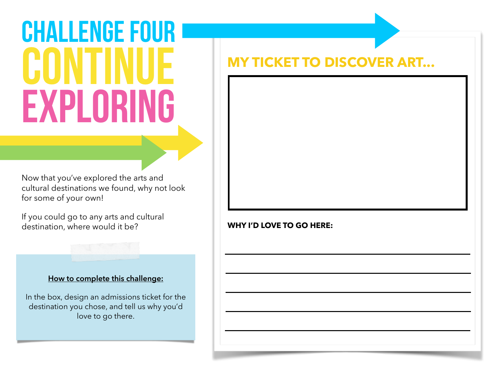# **CHALLENGE FOUR** CONTINUE exploring

Now that you've explored the arts and cultural destinations we found, why not look for some of your own!

If you could go to any arts and cultural destination, where would it be?

### **How to complete this challenge:**

In the box, design an admissions ticket for the destination you chose, and tell us why you'd love to go there.

### **MY TICKET TO DISCOVER ART...**

**WHY I'D LOVE TO GO HERE:**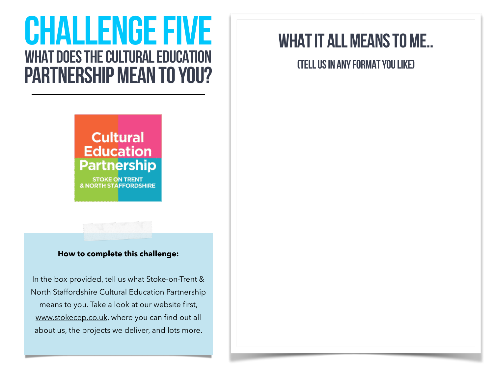## WHAT DOES THE CULTURAL EDUCATION PARTNERSHIP MEAN TO YOU? CHALLENGE FIVE

### **Cultural Education Partnership**

**STOKE ON TRENT & NORTH STAFFORDSHIRE** 

### **How to complete this challenge:**

In the box provided, tell us what Stoke-on-Trent & North Staffordshire Cultural Education Partnership means to you. Take a look at our website first, [www.stokecep.co.uk,](http://www.stokecep.co.uk) where you can find out all [about us, the projects](http://www.stokecep.co.uk) we deliver, and lots more.

### WHAT IT ALL MEANS TO ME..

(TELL US IN ANY FORMAT YOU LIKE)